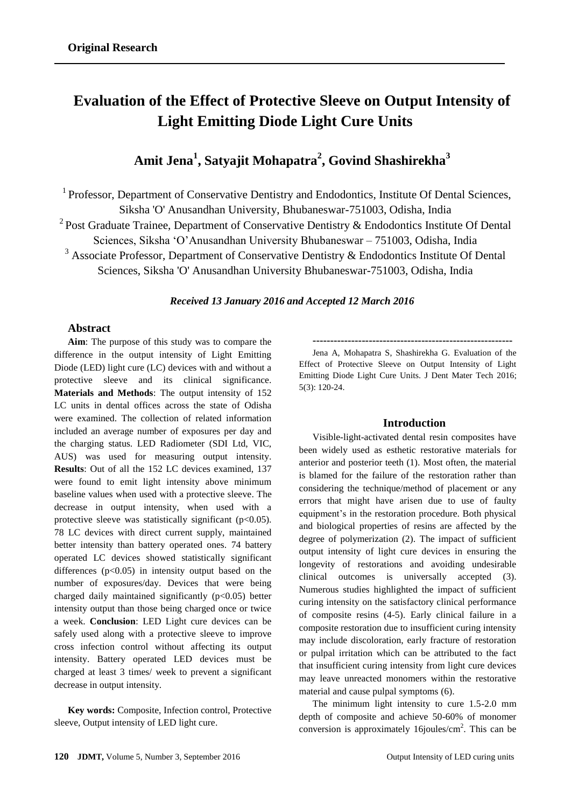# **Evaluation of the Effect of Protective Sleeve on Output Intensity of Light Emitting Diode Light Cure Units**

# **Amit Jena<sup>1</sup> , Satyajit Mohapatra<sup>2</sup> , Govind Shashirekha<sup>3</sup>**

<sup>1</sup> Professor, Department of Conservative Dentistry and Endodontics, Institute Of Dental Sciences, Siksha 'O' Anusandhan University, Bhubaneswar-751003, Odisha, India <sup>2</sup> Post Graduate Trainee, Department of Conservative Dentistry & Endodontics Institute Of Dental Sciences, Siksha 'O'Anusandhan University Bhubaneswar – 751003, Odisha, India  $3$  Associate Professor, Department of Conservative Dentistry & Endodontics Institute Of Dental Sciences, Siksha 'O' Anusandhan University Bhubaneswar-751003, Odisha, India

*Received 13 January 2016 and Accepted 12 March 2016*

# **Abstract**

**Aim**: The purpose of this study was to compare the difference in the output intensity of Light Emitting Diode (LED) light cure (LC) devices with and without a protective sleeve and its clinical significance. **Materials and Methods**: The output intensity of 152 LC units in dental offices across the state of Odisha were examined. The collection of related information included an average number of exposures per day and the charging status. LED Radiometer (SDI Ltd, VIC, AUS) was used for measuring output intensity. **Results**: Out of all the 152 LC devices examined, 137 were found to emit light intensity above minimum baseline values when used with a protective sleeve. The decrease in output intensity, when used with a protective sleeve was statistically significant ( $p<0.05$ ). 78 LC devices with direct current supply, maintained better intensity than battery operated ones. 74 battery operated LC devices showed statistically significant differences  $(p<0.05)$  in intensity output based on the number of exposures/day. Devices that were being charged daily maintained significantly  $(p<0.05)$  better intensity output than those being charged once or twice a week. **Conclusion**: LED Light cure devices can be safely used along with a protective sleeve to improve cross infection control without affecting its output intensity. Battery operated LED devices must be charged at least 3 times/ week to prevent a significant decrease in output intensity.

**Key words:** Composite, Infection control, Protective sleeve, Output intensity of LED light cure.

**---------------------------------------------------------**

Jena A, Mohapatra S, Shashirekha G. Evaluation of the Effect of Protective Sleeve on Output Intensity of Light Emitting Diode Light Cure Units. J Dent Mater Tech 2016; 5(3): 120-24.

#### **Introduction**

Visible-light-activated dental resin composites have been widely used as esthetic restorative materials for anterior and posterior teeth (1). Most often, the material is blamed for the failure of the restoration rather than considering the technique/method of placement or any errors that might have arisen due to use of faulty equipment's in the restoration procedure. Both physical and biological properties of resins are affected by the degree of polymerization (2). The impact of sufficient output intensity of light cure devices in ensuring the longevity of restorations and avoiding undesirable clinical outcomes is universally accepted (3). Numerous studies highlighted the impact of sufficient curing intensity on the satisfactory clinical performance of composite resins (4-5). Early clinical failure in a composite restoration due to insufficient curing intensity may include discoloration, early fracture of restoration or pulpal irritation which can be attributed to the fact that insufficient curing intensity from light cure devices may leave unreacted monomers within the restorative material and cause pulpal symptoms (6).

The minimum light intensity to cure 1.5-2.0 mm depth of composite and achieve 50-60% of monomer conversion is approximately 16 joules/ $\text{cm}^2$ . This can be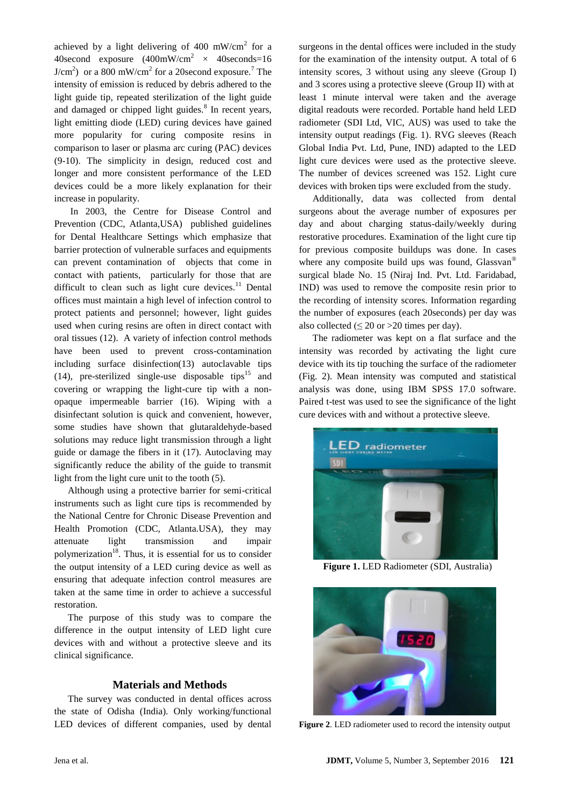achieved by a light delivering of 400 mW/cm<sup>2</sup> for a 40second exposure  $(400 \text{mW/cm}^2 \times 40 \text{ seconds} = 16$  $J/cm<sup>2</sup>$ ) or a 800 mW/cm<sup>2</sup> for a 20 second exposure.<sup>7</sup> The intensity of emission is reduced by debris adhered to the light guide tip, repeated sterilization of the light guide and damaged or chipped light guides.<sup>8</sup> In recent years, light emitting diode (LED) curing devices have gained more popularity for curing composite resins in comparison to laser or plasma arc curing (PAC) devices (9-10). The simplicity in design, reduced cost and longer and more consistent performance of the LED devices could be a more likely explanation for their increase in popularity.

In 2003, the Centre for Disease Control and Prevention (CDC, Atlanta,USA) published guidelines for Dental Healthcare Settings which emphasize that barrier protection of vulnerable surfaces and equipments can prevent contamination of objects that come in contact with patients, particularly for those that are difficult to clean such as light cure devices. $11$  Dental offices must maintain a high level of infection control to protect patients and personnel; however, light guides used when curing resins are often in direct contact with oral tissues (12). A variety of infection control methods have been used to prevent cross-contamination including surface disinfection(13) autoclavable tips (14), pre-sterilized single-use disposable tips<sup>15</sup> and covering or wrapping the light-cure tip with a nonopaque impermeable barrier (16). Wiping with a disinfectant solution is quick and convenient, however, some studies have shown that glutaraldehyde-based solutions may reduce light transmission through a light guide or damage the fibers in it (17). Autoclaving may significantly reduce the ability of the guide to transmit light from the light cure unit to the tooth (5).

Although using a protective barrier for semi-critical instruments such as light cure tips is recommended by the National Centre for Chronic Disease Prevention and Health Promotion (CDC, Atlanta.USA), they may attenuate light transmission and impair polymerization<sup>18</sup>. Thus, it is essential for us to consider the output intensity of a LED curing device as well as ensuring that adequate infection control measures are taken at the same time in order to achieve a successful restoration.

The purpose of this study was to compare the difference in the output intensity of LED light cure devices with and without a protective sleeve and its clinical significance.

#### **Materials and Methods**

The survey was conducted in dental offices across the state of Odisha (India). Only working/functional LED devices of different companies, used by dental surgeons in the dental offices were included in the study for the examination of the intensity output. A total of 6 intensity scores, 3 without using any sleeve (Group I) and 3 scores using a protective sleeve (Group II) with at least 1 minute interval were taken and the average digital readouts were recorded. Portable hand held LED radiometer (SDI Ltd, VIC, AUS) was used to take the intensity output readings (Fig. 1). RVG sleeves (Reach Global India Pvt. Ltd, Pune, IND) adapted to the LED light cure devices were used as the protective sleeve. The number of devices screened was 152. Light cure devices with broken tips were excluded from the study.

Additionally, data was collected from dental surgeons about the average number of exposures per day and about charging status-daily/weekly during restorative procedures. Examination of the light cure tip for previous composite buildups was done. In cases where any composite build ups was found, Glassvan<sup>®</sup> surgical blade No. 15 (Niraj Ind. Pvt. Ltd. Faridabad, IND) was used to remove the composite resin prior to the recording of intensity scores. Information regarding the number of exposures (each 20seconds) per day was also collected ( $\leq 20$  or  $>20$  times per day).

The radiometer was kept on a flat surface and the intensity was recorded by activating the light cure device with its tip touching the surface of the radiometer (Fig. 2). Mean intensity was computed and statistical analysis was done, using IBM SPSS 17.0 software. Paired t-test was used to see the significance of the light cure devices with and without a protective sleeve.



**Figure 1.** LED Radiometer (SDI, Australia)



**Figure 2**. LED radiometer used to record the intensity output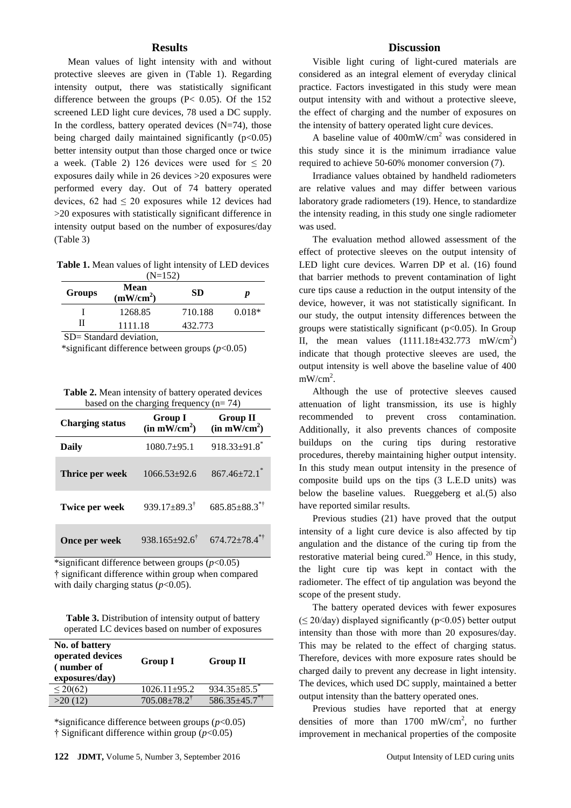#### **Results**

Mean values of light intensity with and without protective sleeves are given in (Table 1). Regarding intensity output, there was statistically significant difference between the groups ( $P < 0.05$ ). Of the 152 screened LED light cure devices, 78 used a DC supply. In the cordless, battery operated devices  $(N=74)$ , those being charged daily maintained significantly  $(p<0.05)$ better intensity output than those charged once or twice a week. (Table 2) 126 devices were used for  $\leq 20$ exposures daily while in 26 devices >20 exposures were performed every day. Out of 74 battery operated devices, 62 had  $\leq$  20 exposures while 12 devices had >20 exposures with statistically significant difference in intensity output based on the number of exposures/day (Table 3)

**Table 1.** Mean values of light intensity of LED devices  $(N=152)$ 

| <b>Groups</b>         | Mean<br>(mW/cm <sup>2</sup> ) | <b>SD</b> | p        |  |
|-----------------------|-------------------------------|-----------|----------|--|
|                       | 1268.85                       | 710.188   | $0.018*$ |  |
|                       | 1111.18                       | 432.773   |          |  |
| SD-Standard deviation |                               |           |          |  |

= Standard deviation.

\*significant difference between groups (*p*<0.05)

**Table 2.** Mean intensity of battery operated devices based on the charging frequency (n= 74)

| <b>Charging status</b> | Group I<br>(in mW/cm <sup>2</sup> ) | <b>Group II</b><br>$(in m\overline{W/cm}^2)$ |
|------------------------|-------------------------------------|----------------------------------------------|
| Daily                  | $1080.7+95.1$                       | $918.33 \pm 91.8$ *                          |
| Thrice per week        | $1066.53+92.6$                      | $867.46 \pm 72.1$ <sup>*</sup>               |
| <b>Twice per week</b>  | $939.17 \pm 89.3^{\dagger}$         | $685.85 \pm 88.3$ **                         |
| Once per week          | $938.165 \pm 92.6$ <sup>†</sup>     | $674.72 \pm 78.4^{\ast\dagger}$              |

\*significant difference between groups (*p*<0.05) † significant difference within group when compared with daily charging status  $(p<0.05)$ .

**Table 3.** Distribution of intensity output of battery operated LC devices based on number of exposures

| No. of battery<br>operated devices<br>(number of<br>exposures/day) | Group I                     | Group II                       |
|--------------------------------------------------------------------|-----------------------------|--------------------------------|
| $\leq$ 20(62)                                                      | $1026.11 \pm 95.2$          | $934.35 \pm 85.5$ <sup>*</sup> |
| >20(12)                                                            | $705.08 \pm 78.2^{\dagger}$ | $586.35 \pm 45.7$              |

\*significance difference between groups (*p*<0.05) † Significant difference within group (*p*<0.05)

#### **Discussion**

Visible light curing of light-cured materials are considered as an integral element of everyday clinical practice. Factors investigated in this study were mean output intensity with and without a protective sleeve, the effect of charging and the number of exposures on the intensity of battery operated light cure devices.

A baseline value of 400mW/cm<sup>2</sup> was considered in this study since it is the minimum irradiance value required to achieve 50-60% monomer conversion (7).

Irradiance values obtained by handheld radiometers are relative values and may differ between various laboratory grade radiometers (19). Hence, to standardize the intensity reading, in this study one single radiometer was used.

The evaluation method allowed assessment of the effect of protective sleeves on the output intensity of LED light cure devices. Warren DP et al. (16) found that barrier methods to prevent contamination of light cure tips cause a reduction in the output intensity of the device, however, it was not statistically significant. In our study, the output intensity differences between the groups were statistically significant ( $p<0.05$ ). In Group II, the mean values  $(1111.18 \pm 432.773 \, \text{mW/cm}^2)$ indicate that though protective sleeves are used, the output intensity is well above the baseline value of 400  $mW/cm<sup>2</sup>$ .

Although the use of protective sleeves caused attenuation of light transmission, its use is highly recommended to prevent cross contamination. Additionally, it also prevents chances of composite buildups on the curing tips during restorative procedures, thereby maintaining higher output intensity. In this study mean output intensity in the presence of composite build ups on the tips (3 L.E.D units) was below the baseline values. Rueggeberg et al.(5) also have reported similar results.

Previous studies (21) have proved that the output intensity of a light cure device is also affected by tip angulation and the distance of the curing tip from the restorative material being cured.<sup>20</sup> Hence, in this study, the light cure tip was kept in contact with the radiometer. The effect of tip angulation was beyond the scope of the present study.

The battery operated devices with fewer exposures  $(\leq 20$ /day) displayed significantly (p<0.05) better output intensity than those with more than 20 exposures/day. This may be related to the effect of charging status. Therefore, devices with more exposure rates should be charged daily to prevent any decrease in light intensity. The devices, which used DC supply, maintained a better output intensity than the battery operated ones.

Previous studies have reported that at energy densities of more than  $1700$  mW/cm<sup>2</sup>, no further improvement in mechanical properties of the composite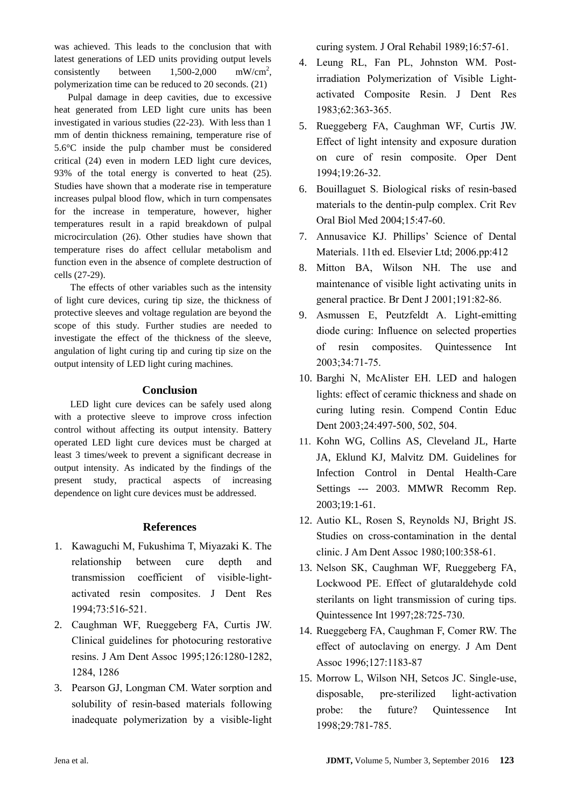was achieved. This leads to the conclusion that with latest generations of LED units providing output levels  $consistently$  between  $1,500-2,000$  $mW/cm^2$ , polymerization time can be reduced to 20 seconds. (21)

Pulpal damage in deep cavities, due to excessive heat generated from LED light cure units has been investigated in various studies (22-23). With less than 1 mm of dentin thickness remaining, temperature rise of 5.6°C inside the pulp chamber must be considered critical (24) even in modern LED light cure devices, 93% of the total energy is converted to heat (25). Studies have shown that a moderate rise in temperature increases pulpal blood flow, which in turn compensates for the increase in temperature, however, higher temperatures result in a rapid breakdown of pulpal microcirculation (26). Other studies have shown that temperature rises do affect cellular metabolism and function even in the absence of complete destruction of cells (27-29).

The effects of other variables such as the intensity of light cure devices, curing tip size, the thickness of protective sleeves and voltage regulation are beyond the scope of this study. Further studies are needed to investigate the effect of the thickness of the sleeve, angulation of light curing tip and curing tip size on the output intensity of LED light curing machines.

# **Conclusion**

LED light cure devices can be safely used along with a protective sleeve to improve cross infection control without affecting its output intensity. Battery operated LED light cure devices must be charged at least 3 times/week to prevent a significant decrease in output intensity. As indicated by the findings of the present study, practical aspects of increasing dependence on light cure devices must be addressed.

# **References**

- 1. Kawaguchi M, Fukushima T, Miyazaki K. The relationship between cure depth and transmission coefficient of visible-lightactivated resin composites. J Dent Res 1994;73:516-521.
- 2. Caughman WF, Rueggeberg FA, Curtis JW. Clinical guidelines for photocuring restorative resins. J Am Dent Assoc 1995;126:1280-1282, 1284, 1286
- 3. Pearson GJ, Longman CM. Water sorption and solubility of resin-based materials following inadequate polymerization by a visible-light

curing system. J Oral Rehabil 1989;16:57-61.

- 4. Leung RL, Fan PL, Johnston WM. Postirradiation Polymerization of Visible Lightactivated Composite Resin. J Dent Res 1983;62:363-365.
- 5. Rueggeberg FA, Caughman WF, Curtis JW. Effect of light intensity and exposure duration on cure of resin composite. Oper Dent 1994;19:26-32.
- 6. Bouillaguet S. Biological risks of resin-based materials to the dentin-pulp complex. Crit Rev Oral Biol Med 2004;15:47-60.
- 7. Annusavice KJ. Phillips' Science of Dental Materials. 11th ed. Elsevier Ltd; 2006.pp:412
- 8. Mitton BA, Wilson NH. The use and maintenance of visible light activating units in general practice. Br Dent J 2001;191:82-86.
- 9. Asmussen E, Peutzfeldt A. Light-emitting diode curing: Influence on selected properties of resin composites. Quintessence Int 2003;34:71-75.
- 10. Barghi N, McAlister EH. LED and halogen lights: effect of ceramic thickness and shade on curing luting resin. Compend Contin Educ Dent 2003;24:497-500, 502, 504.
- 11. Kohn WG, Collins AS, Cleveland JL, Harte JA, Eklund KJ, Malvitz DM. Guidelines for Infection Control in Dental Health-Care Settings --- 2003. [MMWR Recomm Rep.](http://www.ncbi.nlm.nih.gov/pubmed/14685139) 2003;19:1-61.
- 12. Autio KL, Rosen S, Reynolds NJ, Bright JS. Studies on cross-contamination in the dental clinic. J Am Dent Assoc 1980;100:358-61.
- 13. Nelson SK, Caughman WF, Rueggeberg FA, Lockwood PE. Effect of glutaraldehyde cold sterilants on light transmission of curing tips. Quintessence Int 1997;28:725-730.
- 14. Rueggeberg FA, Caughman F, Comer RW. The effect of autoclaving on energy. J Am Dent Assoc 1996;127:1183-87
- 15. Morrow L, Wilson NH, Setcos JC. Single-use, disposable, pre-sterilized light-activation probe: the future? Quintessence Int 1998;29:781-785.